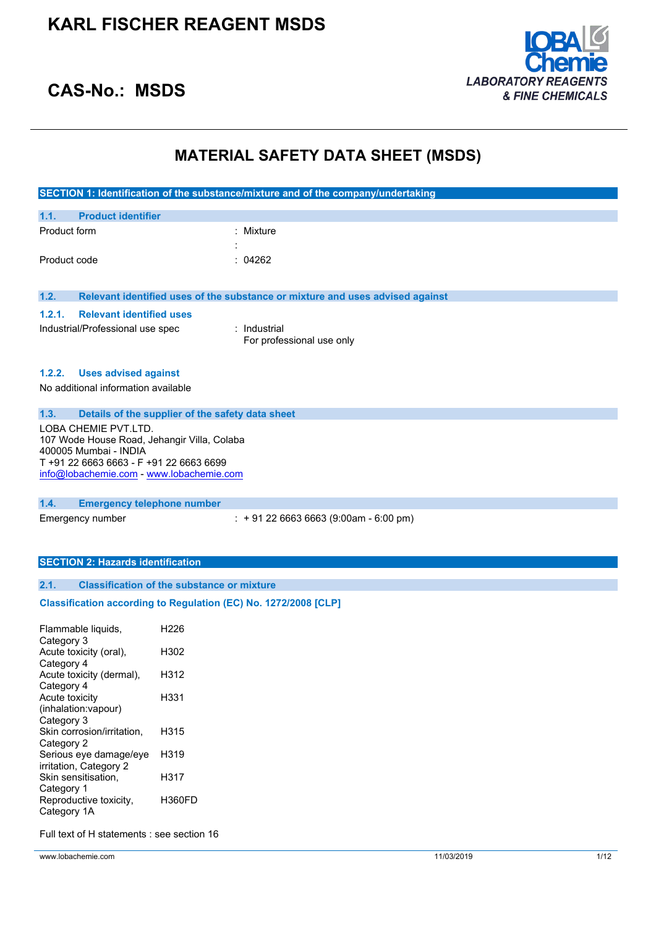

### **CAS-No.: MSDS**

### **MATERIAL SAFETY DATA SHEET (MSDS)**

|                                                                 |                                                                      |                                                   | SECTION 1: Identification of the substance/mixture and of the company/undertaking |
|-----------------------------------------------------------------|----------------------------------------------------------------------|---------------------------------------------------|-----------------------------------------------------------------------------------|
| 1.1.                                                            | <b>Product identifier</b>                                            |                                                   |                                                                                   |
| Product form                                                    |                                                                      |                                                   | Mixture                                                                           |
|                                                                 |                                                                      |                                                   |                                                                                   |
| Product code                                                    |                                                                      |                                                   | 04262                                                                             |
|                                                                 |                                                                      |                                                   |                                                                                   |
| 1.2.                                                            |                                                                      |                                                   | Relevant identified uses of the substance or mixture and uses advised against     |
| 1.2.1.                                                          | <b>Relevant identified uses</b>                                      |                                                   |                                                                                   |
|                                                                 | Industrial/Professional use spec                                     |                                                   | : Industrial                                                                      |
|                                                                 |                                                                      |                                                   | For professional use only                                                         |
|                                                                 |                                                                      |                                                   |                                                                                   |
| 1.2.2.                                                          | <b>Uses advised against</b>                                          |                                                   |                                                                                   |
|                                                                 | No additional information available                                  |                                                   |                                                                                   |
|                                                                 |                                                                      |                                                   |                                                                                   |
| 1.3.                                                            |                                                                      | Details of the supplier of the safety data sheet  |                                                                                   |
|                                                                 | LOBA CHEMIE PVT.LTD.                                                 |                                                   |                                                                                   |
|                                                                 | 107 Wode House Road, Jehangir Villa, Colaba<br>400005 Mumbai - INDIA |                                                   |                                                                                   |
|                                                                 | T +91 22 6663 6663 - F +91 22 6663 6699                              |                                                   |                                                                                   |
|                                                                 | info@lobachemie.com - www.lobachemie.com                             |                                                   |                                                                                   |
|                                                                 |                                                                      |                                                   |                                                                                   |
| 1.4.                                                            | <b>Emergency telephone number</b>                                    |                                                   |                                                                                   |
|                                                                 | Emergency number                                                     |                                                   | $: +912266636663(9:00am - 6:00 pm)$                                               |
|                                                                 |                                                                      |                                                   |                                                                                   |
|                                                                 |                                                                      |                                                   |                                                                                   |
|                                                                 | <b>SECTION 2: Hazards identification</b>                             |                                                   |                                                                                   |
| 2.1.                                                            |                                                                      | <b>Classification of the substance or mixture</b> |                                                                                   |
| Classification according to Regulation (EC) No. 1272/2008 [CLP] |                                                                      |                                                   |                                                                                   |
|                                                                 |                                                                      |                                                   |                                                                                   |
|                                                                 | Flammable liquids,                                                   | H <sub>226</sub>                                  |                                                                                   |
| Category 3                                                      |                                                                      |                                                   |                                                                                   |
| Category 4                                                      | Acute toxicity (oral),                                               | H302                                              |                                                                                   |
|                                                                 | Acute toxicity (dermal),                                             | H312                                              |                                                                                   |
| Category 4                                                      |                                                                      |                                                   |                                                                                   |
| Acute toxicity                                                  |                                                                      | H331                                              |                                                                                   |
|                                                                 |                                                                      |                                                   |                                                                                   |
| Category 3                                                      | (inhalation: vapour)                                                 |                                                   |                                                                                   |

Category 2 Serious eye damage/eye H319 irritation, Category 2 Skin sensitisation, Category 1 H317 Reproductive toxicity, Category 1A H360FD

Full text of H statements : see section 16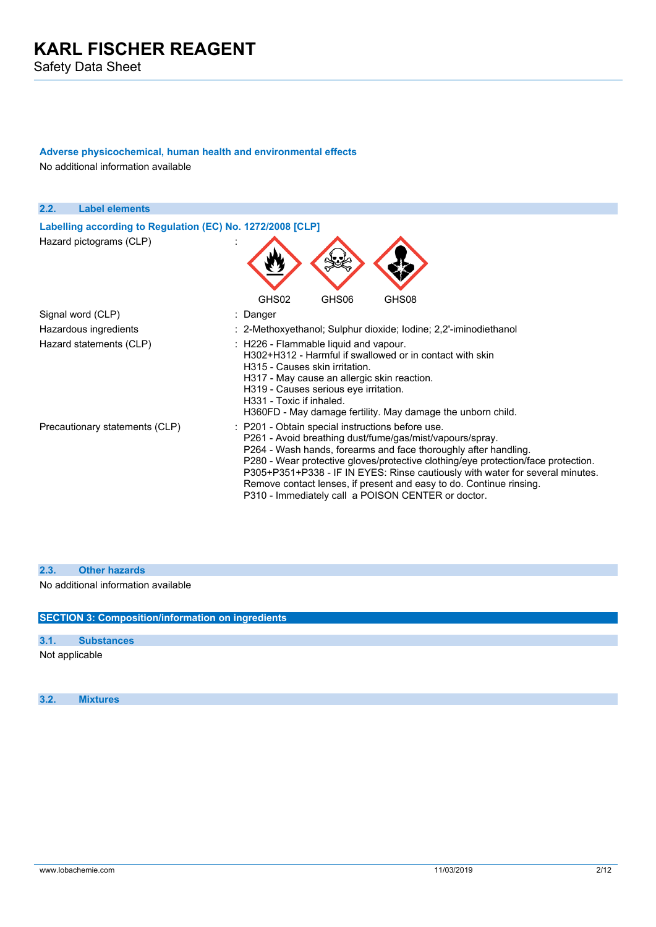### **Adverse physicochemical, human health and environmental effects**

No additional information available

| 2.2.<br><b>Label elements</b>                              |                                                                                                                                                                                                                                                                                                                                                                                                                                                                                    |
|------------------------------------------------------------|------------------------------------------------------------------------------------------------------------------------------------------------------------------------------------------------------------------------------------------------------------------------------------------------------------------------------------------------------------------------------------------------------------------------------------------------------------------------------------|
| Labelling according to Regulation (EC) No. 1272/2008 [CLP] |                                                                                                                                                                                                                                                                                                                                                                                                                                                                                    |
| Hazard pictograms (CLP)                                    |                                                                                                                                                                                                                                                                                                                                                                                                                                                                                    |
|                                                            | GHS02<br>GHS06<br>GHS08                                                                                                                                                                                                                                                                                                                                                                                                                                                            |
| Signal word (CLP)                                          | : Danger                                                                                                                                                                                                                                                                                                                                                                                                                                                                           |
| Hazardous ingredients                                      | : 2-Methoxyethanol; Sulphur dioxide; Iodine; 2,2'-iminodiethanol                                                                                                                                                                                                                                                                                                                                                                                                                   |
| Hazard statements (CLP)                                    | : H226 - Flammable liquid and vapour.<br>H302+H312 - Harmful if swallowed or in contact with skin<br>H315 - Causes skin irritation.<br>H317 - May cause an allergic skin reaction.<br>H319 - Causes serious eye irritation.<br>H331 - Toxic if inhaled.<br>H360FD - May damage fertility. May damage the unborn child.                                                                                                                                                             |
| Precautionary statements (CLP)                             | : P201 - Obtain special instructions before use.<br>P261 - Avoid breathing dust/fume/gas/mist/vapours/spray.<br>P264 - Wash hands, forearms and face thoroughly after handling.<br>P280 - Wear protective gloves/protective clothing/eye protection/face protection.<br>P305+P351+P338 - IF IN EYES: Rinse cautiously with water for several minutes.<br>Remove contact lenses, if present and easy to do. Continue rinsing.<br>P310 - Immediately call a POISON CENTER or doctor. |

#### **2.3. Other hazards**

No additional information available

**SECTION 3: Composition/information on ingredients**

| 3.1. | <b>Substances</b> |  |
|------|-------------------|--|
|------|-------------------|--|

### Not applicable

**3.2. Mixtures**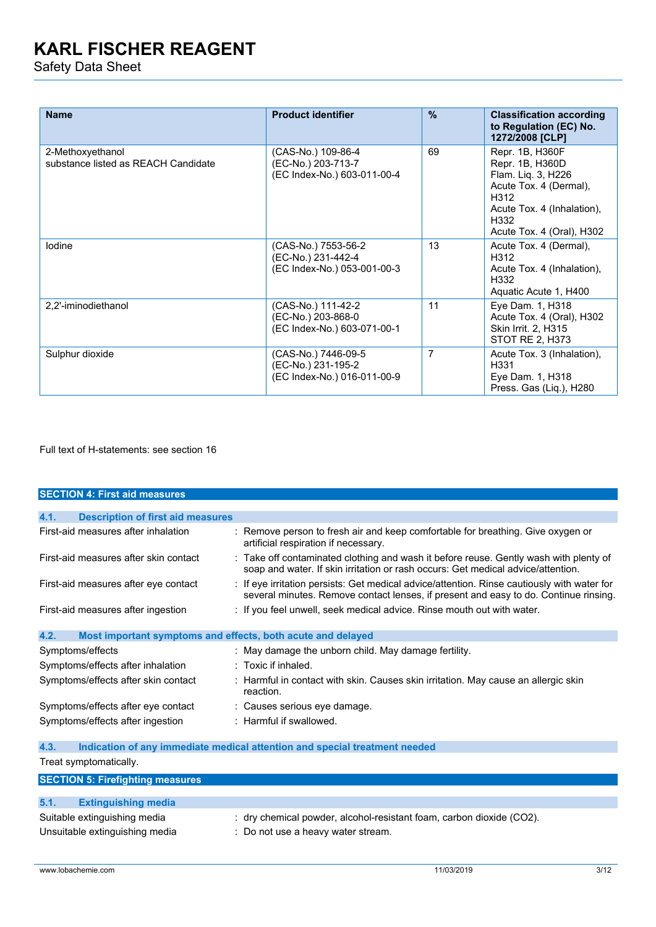Safety Data Sheet

| <b>Name</b>                                             | <b>Product identifier</b>                                                | $\frac{9}{6}$  | <b>Classification according</b><br>to Regulation (EC) No.<br>1272/2008 [CLP]                                                                                  |
|---------------------------------------------------------|--------------------------------------------------------------------------|----------------|---------------------------------------------------------------------------------------------------------------------------------------------------------------|
| 2-Methoxyethanol<br>substance listed as REACH Candidate | (CAS-No.) 109-86-4<br>(EC-No.) 203-713-7<br>(EC Index-No.) 603-011-00-4  | 69             | Repr. 1B, H360F<br>Repr. 1B, H360D<br>Flam. Liq. 3, H226<br>Acute Tox. 4 (Dermal),<br>H312<br>Acute Tox. 4 (Inhalation),<br>H332<br>Acute Tox. 4 (Oral), H302 |
| lodine                                                  | (CAS-No.) 7553-56-2<br>(EC-No.) 231-442-4<br>(EC Index-No.) 053-001-00-3 | 13             | Acute Tox. 4 (Dermal),<br>H312<br>Acute Tox. 4 (Inhalation),<br>H332<br>Aquatic Acute 1, H400                                                                 |
| 2,2'-iminodiethanol                                     | (CAS-No.) 111-42-2<br>(EC-No.) 203-868-0<br>(EC Index-No.) 603-071-00-1  | 11             | Eye Dam. 1, H318<br>Acute Tox. 4 (Oral), H302<br><b>Skin Irrit. 2, H315</b><br>STOT RE 2, H373                                                                |
| Sulphur dioxide                                         | (CAS-No.) 7446-09-5<br>(EC-No.) 231-195-2<br>(EC Index-No.) 016-011-00-9 | $\overline{7}$ | Acute Tox. 3 (Inhalation),<br>H331<br>Eye Dam. 1, H318<br>Press. Gas (Lig.), H280                                                                             |

Full text of H-statements: see section 16

| <b>SECTION 4: First aid measures</b>             |                                                                                                                                                                                     |
|--------------------------------------------------|-------------------------------------------------------------------------------------------------------------------------------------------------------------------------------------|
|                                                  |                                                                                                                                                                                     |
| 4.1.<br><b>Description of first aid measures</b> |                                                                                                                                                                                     |
| First-aid measures after inhalation              | : Remove person to fresh air and keep comfortable for breathing. Give oxygen or<br>artificial respiration if necessary.                                                             |
| First-aid measures after skin contact            | : Take off contaminated clothing and wash it before reuse. Gently wash with plenty of<br>soap and water. If skin irritation or rash occurs: Get medical advice/attention.           |
| First-aid measures after eye contact             | : If eye irritation persists: Get medical advice/attention. Rinse cautiously with water for<br>several minutes. Remove contact lenses, if present and easy to do. Continue rinsing. |
| First-aid measures after ingestion               | : If you feel unwell, seek medical advice. Rinse mouth out with water.                                                                                                              |
| 4.2.                                             | Most important symptoms and effects, both acute and delayed                                                                                                                         |
| Symptoms/effects                                 | : May damage the unborn child. May damage fertility.                                                                                                                                |
| Symptoms/effects after inhalation                | $:$ Toxic if inhaled.                                                                                                                                                               |
| Symptoms/effects after skin contact              | : Harmful in contact with skin. Causes skin irritation. May cause an allergic skin<br>reaction.                                                                                     |
| Symptoms/effects after eye contact               | : Causes serious eye damage.                                                                                                                                                        |
| Symptoms/effects after ingestion                 | : Harmful if swallowed.                                                                                                                                                             |
| 4.3.                                             | Indication of any immediate medical attention and special treatment needed                                                                                                          |
| Treat symptomatically.                           |                                                                                                                                                                                     |
| <b>SECTION 5: Firefighting measures</b>          |                                                                                                                                                                                     |
|                                                  |                                                                                                                                                                                     |
| 5.1.<br><b>Extinguishing media</b>               |                                                                                                                                                                                     |

| $\mathbf{v}$ . Extrigation is a contract to $\mathbf{v}$ |                                                                      |
|----------------------------------------------------------|----------------------------------------------------------------------|
| Suitable extinguishing media                             | : dry chemical powder, alcohol-resistant foam, carbon dioxide (CO2). |
| Unsuitable extinguishing media                           | Do not use a heavy water stream.                                     |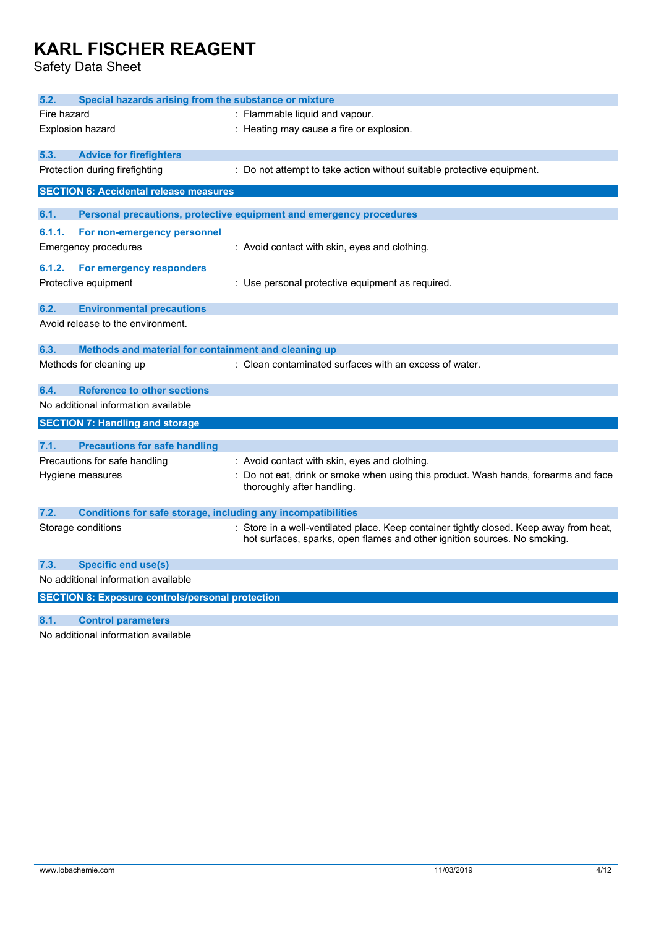Safety Data Sheet

| 5.2.                                | Special hazards arising from the substance or mixture               |                                                                                                                   |  |  |
|-------------------------------------|---------------------------------------------------------------------|-------------------------------------------------------------------------------------------------------------------|--|--|
| Fire hazard                         |                                                                     | : Flammable liquid and vapour.                                                                                    |  |  |
|                                     |                                                                     |                                                                                                                   |  |  |
|                                     | : Heating may cause a fire or explosion.<br><b>Explosion hazard</b> |                                                                                                                   |  |  |
| 5.3.                                | <b>Advice for firefighters</b>                                      |                                                                                                                   |  |  |
|                                     | Protection during firefighting                                      | : Do not attempt to take action without suitable protective equipment.                                            |  |  |
|                                     | <b>SECTION 6: Accidental release measures</b>                       |                                                                                                                   |  |  |
|                                     |                                                                     |                                                                                                                   |  |  |
| 6.1.                                |                                                                     | Personal precautions, protective equipment and emergency procedures                                               |  |  |
| 6.1.1.                              | For non-emergency personnel                                         |                                                                                                                   |  |  |
|                                     | <b>Emergency procedures</b>                                         | : Avoid contact with skin, eyes and clothing.                                                                     |  |  |
|                                     |                                                                     |                                                                                                                   |  |  |
| 6.1.2.                              | For emergency responders                                            |                                                                                                                   |  |  |
|                                     | Protective equipment                                                | : Use personal protective equipment as required.                                                                  |  |  |
| 6.2.                                | <b>Environmental precautions</b>                                    |                                                                                                                   |  |  |
|                                     | Avoid release to the environment.                                   |                                                                                                                   |  |  |
|                                     |                                                                     |                                                                                                                   |  |  |
| 6.3.                                | Methods and material for containment and cleaning up                |                                                                                                                   |  |  |
|                                     | Methods for cleaning up                                             | : Clean contaminated surfaces with an excess of water.                                                            |  |  |
|                                     |                                                                     |                                                                                                                   |  |  |
| 6.4.                                | <b>Reference to other sections</b>                                  |                                                                                                                   |  |  |
|                                     | No additional information available                                 |                                                                                                                   |  |  |
|                                     | <b>SECTION 7: Handling and storage</b>                              |                                                                                                                   |  |  |
| 7.1.                                | <b>Precautions for safe handling</b>                                |                                                                                                                   |  |  |
|                                     |                                                                     |                                                                                                                   |  |  |
|                                     | Precautions for safe handling                                       | : Avoid contact with skin, eyes and clothing.                                                                     |  |  |
|                                     | Hygiene measures                                                    | : Do not eat, drink or smoke when using this product. Wash hands, forearms and face<br>thoroughly after handling. |  |  |
|                                     |                                                                     |                                                                                                                   |  |  |
| 7.2.                                | <b>Conditions for safe storage, including any incompatibilities</b> |                                                                                                                   |  |  |
|                                     | Storage conditions                                                  | : Store in a well-ventilated place. Keep container tightly closed. Keep away from heat,                           |  |  |
|                                     |                                                                     | hot surfaces, sparks, open flames and other ignition sources. No smoking.                                         |  |  |
|                                     |                                                                     |                                                                                                                   |  |  |
| 7.3.                                | <b>Specific end use(s)</b>                                          |                                                                                                                   |  |  |
| No additional information available |                                                                     |                                                                                                                   |  |  |
|                                     | <b>SECTION 8: Exposure controls/personal protection</b>             |                                                                                                                   |  |  |
|                                     |                                                                     |                                                                                                                   |  |  |

**8.1. Control parameters**

No additional information available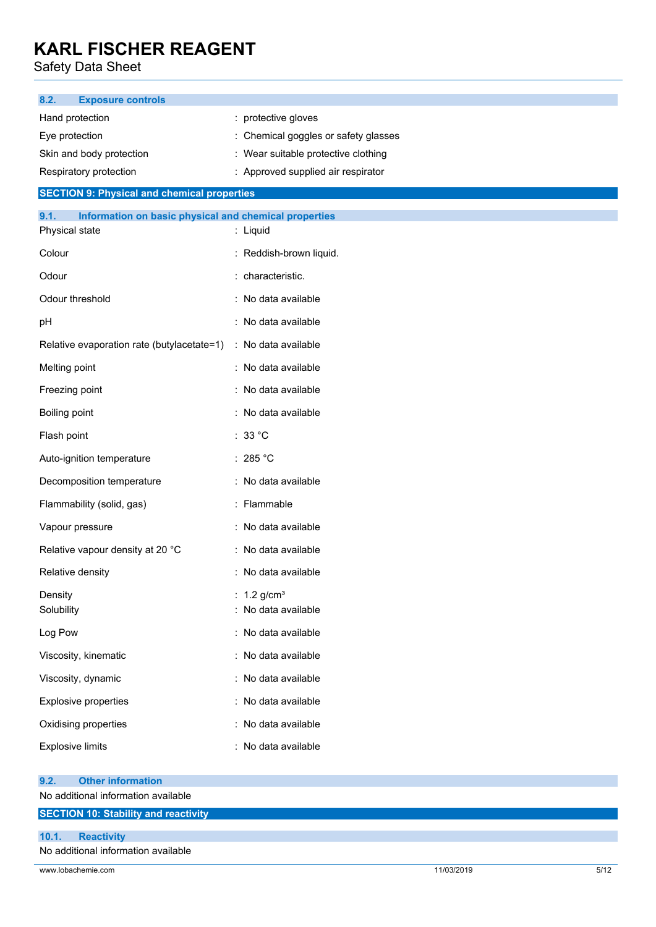Safety Data Sheet

| 8.2.<br><b>Exposure controls</b>                                        |                                                  |  |
|-------------------------------------------------------------------------|--------------------------------------------------|--|
| Hand protection                                                         | : protective gloves                              |  |
| Eye protection                                                          | : Chemical goggles or safety glasses             |  |
| Skin and body protection                                                | : Wear suitable protective clothing              |  |
| Respiratory protection                                                  | : Approved supplied air respirator               |  |
| <b>SECTION 9: Physical and chemical properties</b>                      |                                                  |  |
| 9.1.<br>Information on basic physical and chemical properties           |                                                  |  |
| Physical state                                                          | : Liquid                                         |  |
| Colour                                                                  | : Reddish-brown liquid.                          |  |
| Odour                                                                   | : characteristic.                                |  |
| Odour threshold                                                         | : No data available                              |  |
| pH                                                                      | : No data available                              |  |
| Relative evaporation rate (butylacetate=1)                              | : No data available                              |  |
| Melting point                                                           | : No data available                              |  |
| Freezing point                                                          | : No data available                              |  |
| Boiling point                                                           | : No data available                              |  |
| Flash point                                                             | : $33^{\circ}$ C                                 |  |
| Auto-ignition temperature                                               | : 285 $^{\circ}$ C                               |  |
| Decomposition temperature                                               | : No data available                              |  |
| Flammability (solid, gas)                                               | : Flammable                                      |  |
| Vapour pressure                                                         | : No data available                              |  |
| Relative vapour density at 20 °C                                        | : No data available                              |  |
| Relative density                                                        | : No data available                              |  |
| Density<br>Solubility                                                   | : $1.2$ g/cm <sup>3</sup><br>: No data available |  |
| Log Pow                                                                 | : No data available                              |  |
| Viscosity, kinematic                                                    | : No data available                              |  |
| Viscosity, dynamic                                                      | : No data available                              |  |
| <b>Explosive properties</b>                                             | : No data available                              |  |
| Oxidising properties                                                    | : No data available                              |  |
| <b>Explosive limits</b>                                                 | : No data available                              |  |
| <b>Other information</b><br>9.2.<br>No additional information available |                                                  |  |
| <b>SECTION 10: Stability and reactivity</b>                             |                                                  |  |
| <b>Reactivity</b><br>10.1.<br>No additional information available       |                                                  |  |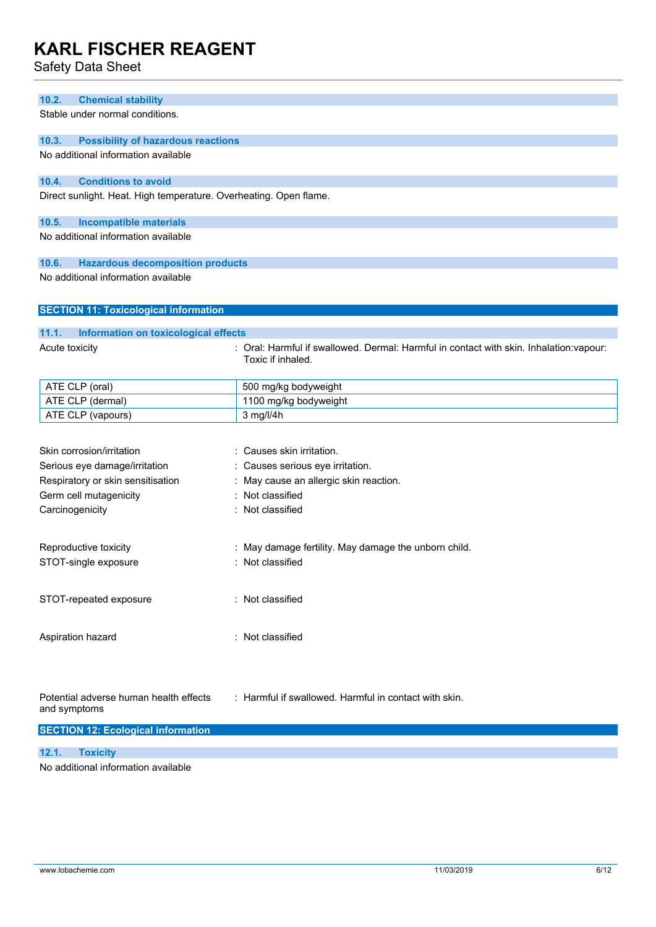Safety Data Sheet

#### **10.2. Chemical stability**

Stable under normal conditions.

#### **10.3. Possibility of hazardous reactions**

No additional information available

#### **10.4. Conditions to avoid**

Direct sunlight. Heat. High temperature. Overheating. Open flame.

#### **10.5. Incompatible materials**

No additional information available

#### **10.6. Hazardous decomposition products**

No additional information available

#### **SECTION 11: Toxicological information**

### **11.1. Information on toxicological effects** Acute toxicity **in the summand of the Coral: Harmful if swallowed. Dermal: Harmful in contact with skin. Inhalation:vapour:** Toxic if inhaled.

| ATE CLP (oral)    | 500 mg/kg bodyweight  |
|-------------------|-----------------------|
| ATE CLP (dermal)  | 1100 mg/kg bodyweight |
| ATE CLP (vapours) | $3$ mg/l/4h           |

| Skin corrosion/irritation                              | : Causes skin irritation.                             |
|--------------------------------------------------------|-------------------------------------------------------|
| Serious eye damage/irritation                          | : Causes serious eye irritation.                      |
| Respiratory or skin sensitisation                      | : May cause an allergic skin reaction.                |
| Germ cell mutagenicity                                 | : Not classified                                      |
| Carcinogenicity                                        | : Not classified                                      |
|                                                        |                                                       |
| Reproductive toxicity                                  | : May damage fertility. May damage the unborn child.  |
| STOT-single exposure                                   | : Not classified                                      |
|                                                        |                                                       |
| STOT-repeated exposure                                 | : Not classified                                      |
|                                                        |                                                       |
|                                                        |                                                       |
| Aspiration hazard                                      | : Not classified                                      |
|                                                        |                                                       |
|                                                        |                                                       |
|                                                        |                                                       |
| Potential adverse human health effects<br>and symptoms | : Harmful if swallowed. Harmful in contact with skin. |
|                                                        |                                                       |
| <b>SECTION 12: Ecological information</b>              |                                                       |
|                                                        |                                                       |

### **12.1. Toxicity**

No additional information available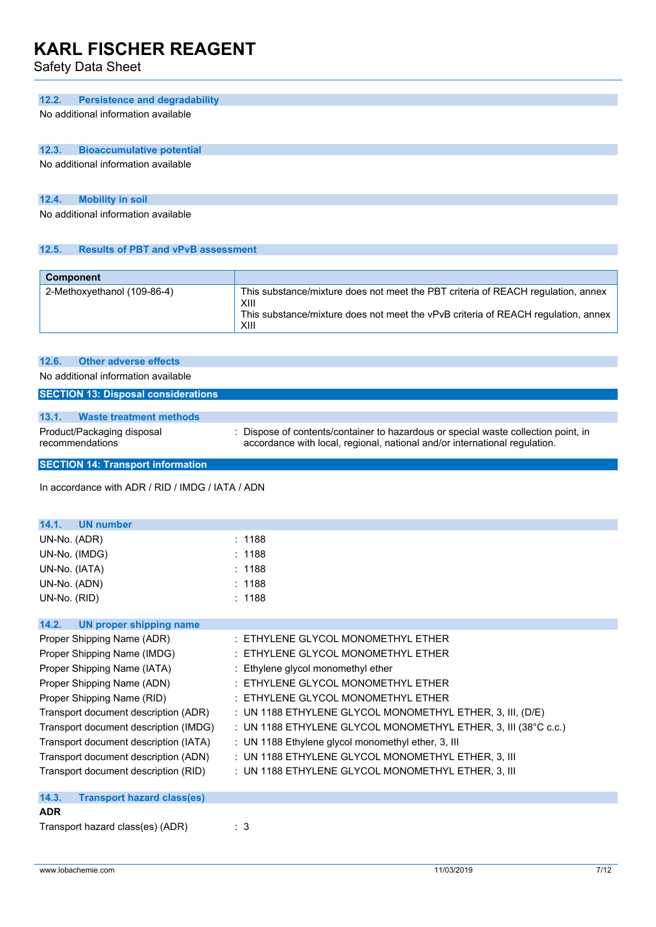Safety Data Sheet

#### **12.2. Persistence and degradability**

No additional information available

### **12.3. Bioaccumulative potential**

No additional information available

#### **12.4. Mobility in soil**

No additional information available

#### **12.5. Results of PBT and vPvB assessment**

| <b>Component</b>            |                                                                                                                                                                                       |
|-----------------------------|---------------------------------------------------------------------------------------------------------------------------------------------------------------------------------------|
| 2-Methoxyethanol (109-86-4) | This substance/mixture does not meet the PBT criteria of REACH regulation, annex<br>XIII<br>This substance/mixture does not meet the vPvB criteria of REACH regulation, annex<br>XIII |

| Product/Packaging disposal<br>recommendations |                                            | : Dispose of contents/container to hazardous or special waste collection point, in<br>accordance with local, regional, national and/or international regulation. |
|-----------------------------------------------|--------------------------------------------|------------------------------------------------------------------------------------------------------------------------------------------------------------------|
| 13.1.                                         | <b>Waste treatment methods</b>             |                                                                                                                                                                  |
|                                               | <b>SECTION 13: Disposal considerations</b> |                                                                                                                                                                  |
|                                               | No additional information available        |                                                                                                                                                                  |
|                                               | 12.6. Other adverse effects                |                                                                                                                                                                  |

**SECTION 14: Transport information**

In accordance with ADR / RID / IMDG / IATA / ADN

| <b>UN number</b><br>14.1.                  |                                                                |
|--------------------------------------------|----------------------------------------------------------------|
| UN-No. (ADR)                               | : 1188                                                         |
| UN-No. (IMDG)                              | : 1188                                                         |
| UN-No. (IATA)                              | : 1188                                                         |
| UN-No. (ADN)                               | : 1188                                                         |
| UN-No. (RID)                               | : 1188                                                         |
| <b>UN proper shipping name</b><br>14.2.    |                                                                |
| Proper Shipping Name (ADR)                 | : ETHYLENE GLYCOL MONOMETHYL ETHER                             |
| Proper Shipping Name (IMDG)                | : ETHYLENE GLYCOL MONOMETHYL ETHER                             |
|                                            |                                                                |
| Proper Shipping Name (IATA)                | : Ethylene glycol monomethyl ether                             |
| Proper Shipping Name (ADN)                 | : ETHYLENE GLYCOL MONOMETHYL ETHER                             |
| Proper Shipping Name (RID)                 | : ETHYLENE GLYCOL MONOMETHYL ETHER                             |
| Transport document description (ADR)       | : UN 1188 ETHYLENE GLYCOL MONOMETHYL ETHER, 3, III, (D/E)      |
| Transport document description (IMDG)      | : UN 1188 ETHYLENE GLYCOL MONOMETHYL ETHER, 3, III (38°C c.c.) |
| Transport document description (IATA)      | : UN 1188 Ethylene glycol monomethyl ether, 3, III             |
| Transport document description (ADN)       | : UN 1188 ETHYLENE GLYCOL MONOMETHYL ETHER, 3, III             |
| Transport document description (RID)       | : UN 1188 ETHYLENE GLYCOL MONOMETHYL ETHER, 3, III             |
| 14.3.<br><b>Transport hazard class(es)</b> |                                                                |
| <b>ADR</b>                                 |                                                                |

Transport hazard class(es) (ADR) : 3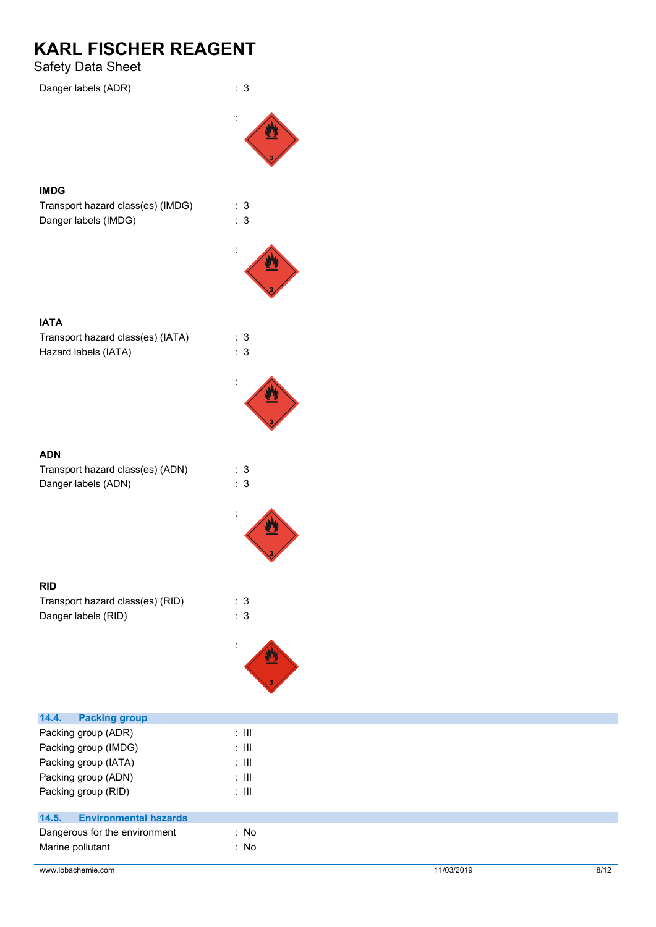### Safety Data Sheet

| Danger labels (ADR)                   | : $3$          |  |  |
|---------------------------------------|----------------|--|--|
|                                       |                |  |  |
|                                       |                |  |  |
|                                       |                |  |  |
| <b>IMDG</b>                           |                |  |  |
| Transport hazard class(es) (IMDG)     | : 3            |  |  |
| Danger labels (IMDG)                  | $\therefore$ 3 |  |  |
|                                       |                |  |  |
|                                       |                |  |  |
|                                       |                |  |  |
|                                       |                |  |  |
| <b>IATA</b>                           |                |  |  |
| Transport hazard class(es) (IATA)     | : 3            |  |  |
| Hazard labels (IATA)                  | $\therefore$ 3 |  |  |
|                                       |                |  |  |
|                                       |                |  |  |
|                                       |                |  |  |
|                                       |                |  |  |
| <b>ADN</b>                            |                |  |  |
| Transport hazard class(es) (ADN)      | : 3            |  |  |
| Danger labels (ADN)                   | : 3            |  |  |
|                                       |                |  |  |
|                                       |                |  |  |
|                                       |                |  |  |
|                                       |                |  |  |
| <b>RID</b>                            |                |  |  |
| Transport hazard class(es) (RID)      | : 3            |  |  |
| Danger labels (RID)                   | : 3            |  |  |
|                                       |                |  |  |
|                                       |                |  |  |
|                                       |                |  |  |
|                                       |                |  |  |
| <b>Packing group</b><br>14.4.         |                |  |  |
| Packing group (ADR)                   | $: \mathbb{H}$ |  |  |
| Packing group (IMDG)                  | $: \mathbb{H}$ |  |  |
| Packing group (IATA)                  | $\colon$ III   |  |  |
| Packing group (ADN)                   | $\colon$ III   |  |  |
| Packing group (RID)                   | $\colon$ III   |  |  |
| <b>Environmental hazards</b><br>14.5. |                |  |  |
| Dangerous for the environment         | : No           |  |  |
| Marine pollutant                      | : No           |  |  |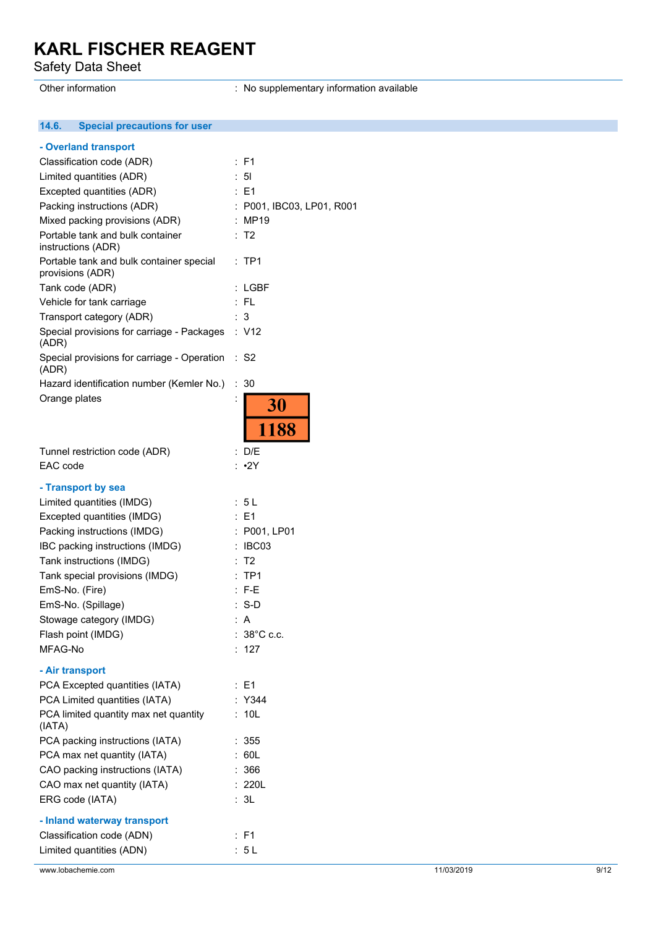Safety Data Sheet

Other information **contract in the contract of the Contract Contract information available** contract of the contract of the contract of the contract of the contract of the contract of the contract of the contract of the co

#### $14.6.$ **14.6. Special precautions for user**

| - Overland transport                                         |                           |      |
|--------------------------------------------------------------|---------------------------|------|
| Classification code (ADR)                                    | : F1                      |      |
| Limited quantities (ADR)                                     | 5 <sub>l</sub>            |      |
| Excepted quantities (ADR)                                    | $\therefore$ E1           |      |
| Packing instructions (ADR)                                   | : P001, IBC03, LP01, R001 |      |
| Mixed packing provisions (ADR)                               | : MP19                    |      |
| Portable tank and bulk container<br>instructions (ADR)       | : T2                      |      |
| Portable tank and bulk container special<br>provisions (ADR) | $:$ TP1                   |      |
| Tank code (ADR)                                              | : LGBF                    |      |
| Vehicle for tank carriage                                    | $:$ FL                    |      |
| Transport category (ADR)                                     | : 3                       |      |
| Special provisions for carriage - Packages : V12<br>(ADR)    |                           |      |
| Special provisions for carriage - Operation<br>(ADR)         | ∴ S2                      |      |
| Hazard identification number (Kemler No.)                    | : 30                      |      |
| Orange plates                                                | 30                        |      |
|                                                              | 1188                      |      |
| Tunnel restriction code (ADR)                                | : D/E                     |      |
| EAC code                                                     | $: \cdot 2Y$              |      |
|                                                              |                           |      |
| - Transport by sea                                           |                           |      |
| Limited quantities (IMDG)                                    | : 5L                      |      |
| Excepted quantities (IMDG)                                   | : E1                      |      |
| Packing instructions (IMDG)                                  | : P001, LP01              |      |
| IBC packing instructions (IMDG)                              | : IBC03                   |      |
| Tank instructions (IMDG)                                     | : T2                      |      |
| Tank special provisions (IMDG)                               | $:$ TP1                   |      |
| EmS-No. (Fire)                                               | $: F-E$                   |      |
| EmS-No. (Spillage)                                           | $: S-D$                   |      |
| Stowage category (IMDG)                                      | : A                       |      |
| Flash point (IMDG)                                           | $: 38^{\circ}$ C c.c.     |      |
| MFAG-No                                                      | : $127$                   |      |
| - Air transport                                              |                           |      |
| PCA Excepted quantities (IATA)                               | : E1                      |      |
| PCA Limited quantities (IATA)                                | : Y344                    |      |
| PCA limited quantity max net quantity<br>(IATA)              | : 10L                     |      |
| PCA packing instructions (IATA)                              | : 355                     |      |
| PCA max net quantity (IATA)                                  | : 60L                     |      |
| CAO packing instructions (IATA)                              | : 366                     |      |
| CAO max net quantity (IATA)                                  | : 220L                    |      |
| ERG code (IATA)                                              | : 3L                      |      |
|                                                              |                           |      |
| - Inland waterway transport                                  |                           |      |
| Classification code (ADN)                                    | : F1                      |      |
| Limited quantities (ADN)                                     | : 5L                      |      |
| www.lobachemie.com                                           | 11/03/2019                | 9/12 |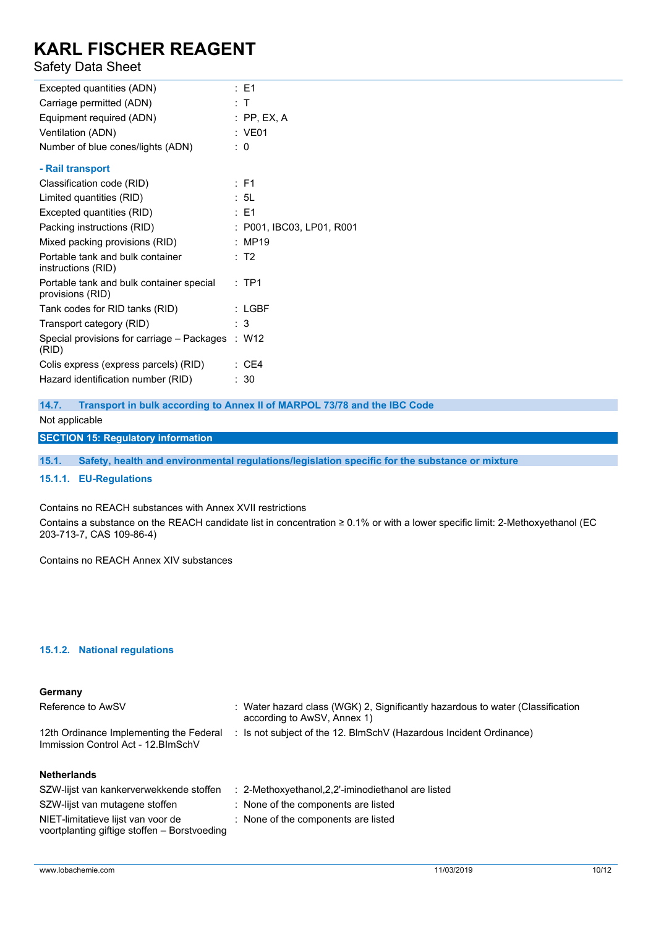### Safety Data Sheet

| Excepted quantities (ADN)                                    | :E1                       |
|--------------------------------------------------------------|---------------------------|
| Carriage permitted (ADN)                                     | : T                       |
| Equipment required (ADN)                                     | $:$ PP, EX, A             |
| Ventilation (ADN)                                            | : VE01                    |
| Number of blue cones/lights (ADN)                            | : 0                       |
| - Rail transport                                             |                           |
| Classification code (RID)                                    | : F1                      |
| Limited quantities (RID)                                     | : 5L                      |
| Excepted quantities (RID)                                    | $\therefore$ F1           |
| Packing instructions (RID)                                   | : P001, IBC03, LP01, R001 |
| Mixed packing provisions (RID)                               | : MP19                    |
| Portable tank and bulk container<br>instructions (RID)       | : T2                      |
| Portable tank and bulk container special<br>provisions (RID) | $:$ TP1                   |
| Tank codes for RID tanks (RID)                               | : LGBF                    |
| Transport category (RID)                                     | : 3                       |
| Special provisions for carriage – Packages<br>(RID)          | : W12                     |
| Colis express (express parcels) (RID)                        | $\therefore$ CE4          |
| Hazard identification number (RID)                           | : 30                      |

**14.7. Transport in bulk according to Annex II of MARPOL 73/78 and the IBC Code**

#### Not applicable

**SECTION 15: Regulatory information**

**15.1. Safety, health and environmental regulations/legislation specific for the substance or mixture**

#### **15.1.1. EU-Regulations**

#### Contains no REACH substances with Annex XVII restrictions

Contains a substance on the REACH candidate list in concentration ≥ 0.1% or with a lower specific limit: 2-Methoxyethanol (EC 203-713-7, CAS 109-86-4)

Contains no REACH Annex XIV substances

#### **15.1.2. National regulations**

### **Germany** Reference to AwSV : Water hazard class (WGK) 2, Significantly hazardous to water (Classification according to AwSV, Annex 1) 12th Ordinance Implementing the Federal Immission Control Act - 12.BImSchV : Is not subject of the 12. BlmSchV (Hazardous Incident Ordinance) **Netherlands**

| SZW-lijst van kankerverwekkende stoffen                                            | : 2-Methoxyethanol, 2, 2'-iminodiethanol are listed |
|------------------------------------------------------------------------------------|-----------------------------------------------------|
| SZW-lijst van mutagene stoffen                                                     | : None of the components are listed                 |
| NIET-limitatieve lijst van voor de<br>voortplanting giftige stoffen - Borstvoeding | : None of the components are listed                 |
|                                                                                    |                                                     |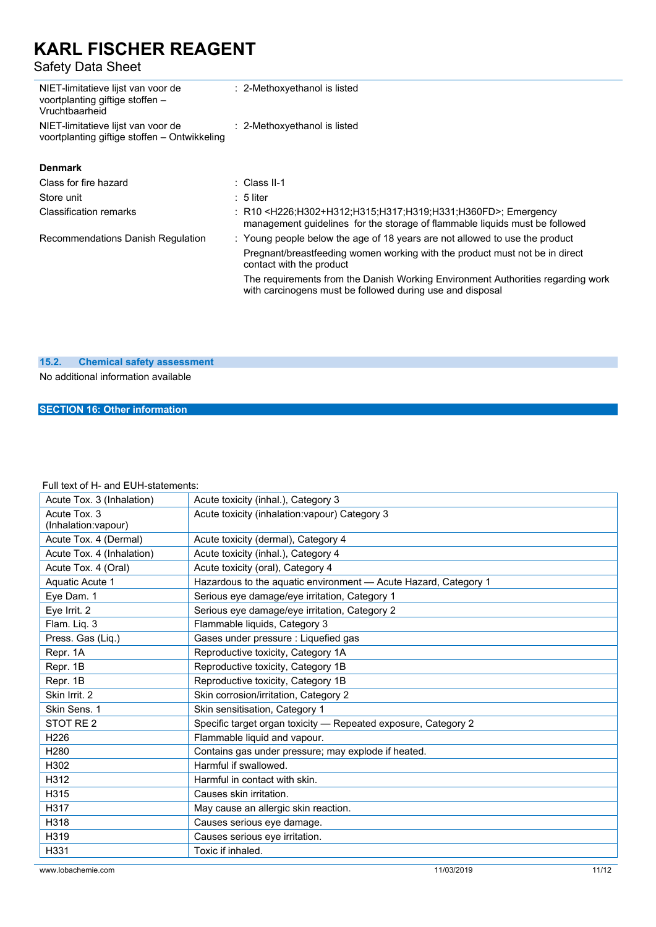Safety Data Sheet

| NIET-limitatieve lijst van voor de<br>voortplanting giftige stoffen -<br>Vruchtbaarheid | : 2-Methoxyethanol is listed                                                                                                                                                             |
|-----------------------------------------------------------------------------------------|------------------------------------------------------------------------------------------------------------------------------------------------------------------------------------------|
| NIET-limitatieve lijst van voor de<br>voortplanting giftige stoffen – Ontwikkeling      | : 2-Methoxyethanol is listed                                                                                                                                                             |
| <b>Denmark</b>                                                                          |                                                                                                                                                                                          |
| Class for fire hazard                                                                   | : Class II-1                                                                                                                                                                             |
| Store unit                                                                              | $: 5$ liter                                                                                                                                                                              |
| <b>Classification remarks</b>                                                           | : R10 <h226;h302+h312;h315;h317;h319;h331;h360fd>; Emergency<br/>management guidelines for the storage of flammable liquids must be followed</h226;h302+h312;h315;h317;h319;h331;h360fd> |
| Recommendations Danish Regulation                                                       | : Young people below the age of 18 years are not allowed to use the product                                                                                                              |
|                                                                                         | Pregnant/breastfeeding women working with the product must not be in direct<br>contact with the product                                                                                  |
|                                                                                         | The requirements from the Danish Working Environment Authorities regarding work<br>with carcinogens must be followed during use and disposal                                             |
|                                                                                         |                                                                                                                                                                                          |

#### **15.2. Chemical safety assessment**

No additional information available

#### **SECTION 16: Other information**

### Full text of H- and EUH-statements:

| Acute Tox. 3 (Inhalation)           | Acute toxicity (inhal.), Category 3                             |
|-------------------------------------|-----------------------------------------------------------------|
| Acute Tox. 3<br>(Inhalation:vapour) | Acute toxicity (inhalation: vapour) Category 3                  |
| Acute Tox. 4 (Dermal)               | Acute toxicity (dermal), Category 4                             |
| Acute Tox. 4 (Inhalation)           | Acute toxicity (inhal.), Category 4                             |
| Acute Tox. 4 (Oral)                 | Acute toxicity (oral), Category 4                               |
| Aquatic Acute 1                     | Hazardous to the aquatic environment - Acute Hazard, Category 1 |
| Eye Dam. 1                          | Serious eye damage/eye irritation, Category 1                   |
| Eye Irrit. 2                        | Serious eye damage/eye irritation, Category 2                   |
| Flam. Liq. 3                        | Flammable liquids, Category 3                                   |
| Press. Gas (Liq.)                   | Gases under pressure : Liquefied gas                            |
| Repr. 1A                            | Reproductive toxicity, Category 1A                              |
| Repr. 1B                            | Reproductive toxicity, Category 1B                              |
| Repr. 1B                            | Reproductive toxicity, Category 1B                              |
| Skin Irrit, 2                       | Skin corrosion/irritation, Category 2                           |
| Skin Sens. 1                        | Skin sensitisation, Category 1                                  |
| STOT RE <sub>2</sub>                | Specific target organ toxicity - Repeated exposure, Category 2  |
| H226                                | Flammable liquid and vapour.                                    |
| H <sub>280</sub>                    | Contains gas under pressure; may explode if heated.             |
| H302                                | Harmful if swallowed.                                           |
| H312                                | Harmful in contact with skin.                                   |
| H315                                | Causes skin irritation.                                         |
| H317                                | May cause an allergic skin reaction.                            |
| H318                                | Causes serious eye damage.                                      |
| H319                                | Causes serious eye irritation.                                  |
| H331                                | Toxic if inhaled.                                               |